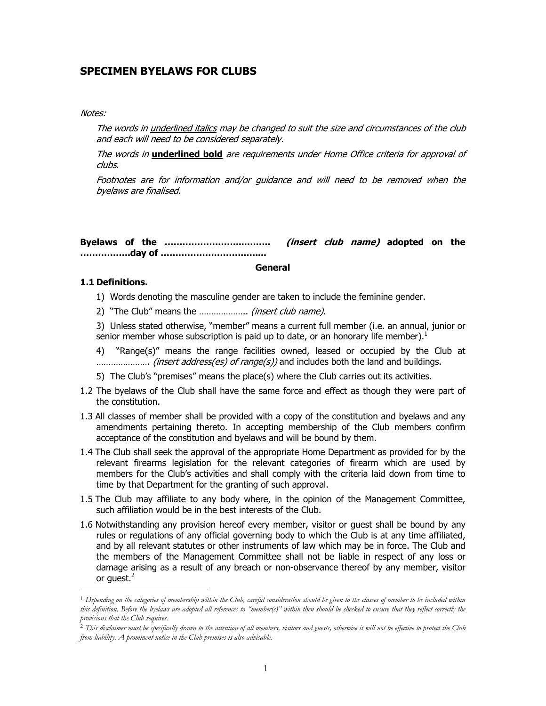# **SPECIMEN BYELAWS FOR CLUBS**

#### Notes:

 The words in underlined italics may be changed to suit the size and circumstances of the club and each will need to be considered separately.

 The words in **underlined bold** are requirements under Home Office criteria for approval of clubs.

 Footnotes are for information and/or guidance and will need to be removed when the byelaws are finalised.

**Byelaws of the ……………………....…….. (insert club name) adopted on the ……………..day of ………………………..…....**

#### **General**

#### **1.1 Definitions.**

 $\overline{a}$ 

- 1) Words denoting the masculine gender are taken to include the feminine gender.
- 2) "The Club" means the .................... (insert club name).

3) Unless stated otherwise, "member" means a current full member (i.e. an annual, junior or senior member whose subscription is paid up to date, or an honorary life member).<sup>1</sup>

4) "Range(s)" means the range facilities owned, leased or occupied by the Club at …………………. (insert address(es) of range(s)) and includes both the land and buildings.

- 5) The Club's "premises" means the place(s) where the Club carries out its activities.
- 1.2 The byelaws of the Club shall have the same force and effect as though they were part of the constitution.
- 1.3 All classes of member shall be provided with a copy of the constitution and byelaws and any amendments pertaining thereto. In accepting membership of the Club members confirm acceptance of the constitution and byelaws and will be bound by them.
- 1.4 The Club shall seek the approval of the appropriate Home Department as provided for by the relevant firearms legislation for the relevant categories of firearm which are used by members for the Club's activities and shall comply with the criteria laid down from time to time by that Department for the granting of such approval.
- 1.5 The Club may affiliate to any body where, in the opinion of the Management Committee, such affiliation would be in the best interests of the Club.
- 1.6 Notwithstanding any provision hereof every member, visitor or guest shall be bound by any rules or regulations of any official governing body to which the Club is at any time affiliated, and by all relevant statutes or other instruments of law which may be in force. The Club and the members of the Management Committee shall not be liable in respect of any loss or damage arising as a result of any breach or non-observance thereof by any member, visitor or guest.<sup>2</sup>

<sup>1</sup> *Depending on the categories of membership within the Club, careful consideration should be given to the classes of member to be included within this definition. Before the byelaws are adopted all references to "member(s)" within then should be checked to ensure that they reflect correctly the provisions that the Club requires.* 

<sup>2</sup> *This disclaimer must be specifically drawn to the attention of all members, visitors and guests, otherwise it will not be effective to protect the Club from liability. A prominent notice in the Club premises is also advisable.*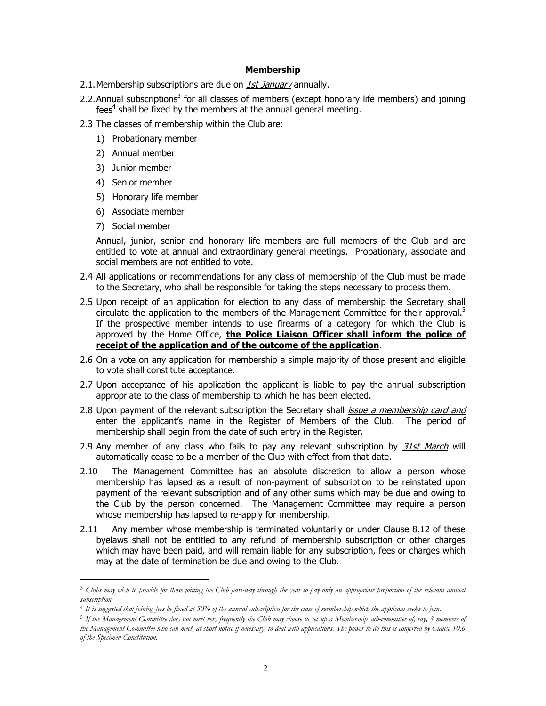#### **Membership**

- 2.1. Membership subscriptions are due on *1st January* annually.
- 2.2. Annual subscriptions<sup>3</sup> for all classes of members (except honorary life members) and joining  $fees<sup>4</sup>$  shall be fixed by the members at the annual general meeting.
- 2.3 The classes of membership within the Club are:
	- 1) Probationary member
	- 2) Annual member
	- 3) Junior member
	- 4) Senior member
	- 5) Honorary life member
	- 6) Associate member
	- 7) Social member

 $\overline{a}$ 

 Annual, junior, senior and honorary life members are full members of the Club and are entitled to vote at annual and extraordinary general meetings. Probationary, associate and social members are not entitled to vote.

- 2.4 All applications or recommendations for any class of membership of the Club must be made to the Secretary, who shall be responsible for taking the steps necessary to process them.
- 2.5 Upon receipt of an application for election to any class of membership the Secretary shall circulate the application to the members of the Management Committee for their approval.<sup>5</sup> If the prospective member intends to use firearms of a category for which the Club is approved by the Home Office, **the Police Liaison Officer shall inform the police of receipt of the application and of the outcome of the application**.
- 2.6 On a vote on any application for membership a simple majority of those present and eligible to vote shall constitute acceptance.
- 2.7 Upon acceptance of his application the applicant is liable to pay the annual subscription appropriate to the class of membership to which he has been elected.
- 2.8 Upon payment of the relevant subscription the Secretary shall *issue a membership card and* enter the applicant's name in the Register of Members of the Club. The period of membership shall begin from the date of such entry in the Register.
- 2.9 Any member of any class who fails to pay any relevant subscription by 31st March will automatically cease to be a member of the Club with effect from that date.
- 2.10 The Management Committee has an absolute discretion to allow a person whose membership has lapsed as a result of non-payment of subscription to be reinstated upon payment of the relevant subscription and of any other sums which may be due and owing to the Club by the person concerned. The Management Committee may require a person whose membership has lapsed to re-apply for membership.
- 2.11 Any member whose membership is terminated voluntarily or under Clause 8.12 of these byelaws shall not be entitled to any refund of membership subscription or other charges which may have been paid, and will remain liable for any subscription, fees or charges which may at the date of termination be due and owing to the Club.

<sup>5</sup> *If the Management Committee does not meet very frequently the Club may choose to set up a Membership sub-committee of, say, 3 members of the Management Committee who can meet, at short notice if necessary, to deal with applications. The power to do this is conferred by Clause 10.6 of the Specimen Constitution.* 

<sup>3</sup> *Clubs may wish to provide for those joining the Club part-way through the year to pay only an appropriate proportion of the relevant annual subscription.* 

<sup>4</sup> *It is suggested that joining fees be fixed at 50% of the annual subscription for the class of membership which the applicant seeks to join.*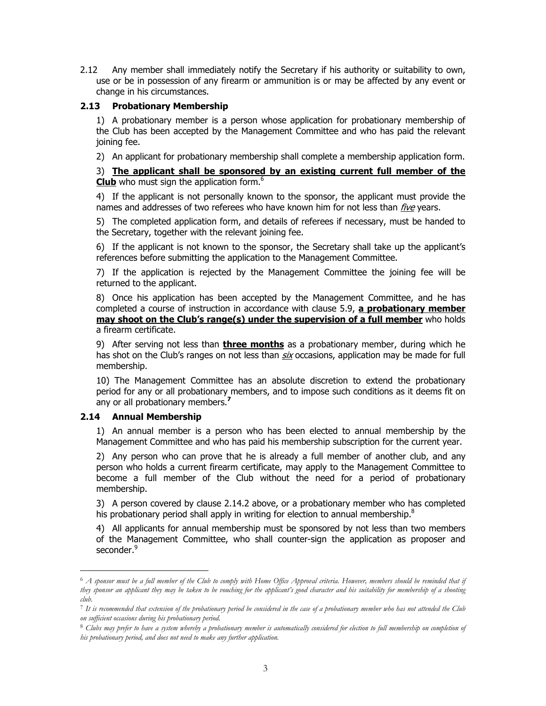2.12 Any member shall immediately notify the Secretary if his authority or suitability to own, use or be in possession of any firearm or ammunition is or may be affected by any event or change in his circumstances.

### **2.13 Probationary Membership**

1) A probationary member is a person whose application for probationary membership of the Club has been accepted by the Management Committee and who has paid the relevant joining fee.

2) An applicant for probationary membership shall complete a membership application form.

3) **The applicant shall be sponsored by an existing current full member of the Club** who must sign the application form.<sup>6</sup>

4) If the applicant is not personally known to the sponsor, the applicant must provide the names and addresses of two referees who have known him for not less than *five* years.

5) The completed application form, and details of referees if necessary, must be handed to the Secretary, together with the relevant joining fee.

6) If the applicant is not known to the sponsor, the Secretary shall take up the applicant's references before submitting the application to the Management Committee.

7) If the application is rejected by the Management Committee the joining fee will be returned to the applicant.

8) Once his application has been accepted by the Management Committee, and he has completed a course of instruction in accordance with clause 5.9, **a probationary member may shoot on the Club's range(s) under the supervision of a full member** who holds a firearm certificate.

9) After serving not less than **three months** as a probationary member, during which he has shot on the Club's ranges on not less than six occasions, application may be made for full membership.

10) The Management Committee has an absolute discretion to extend the probationary period for any or all probationary members, and to impose such conditions as it deems fit on any or all probationary members.**<sup>7</sup>**

### **2.14 Annual Membership**

 $\overline{a}$ 

1) An annual member is a person who has been elected to annual membership by the Management Committee and who has paid his membership subscription for the current year.

2) Any person who can prove that he is already a full member of another club, and any person who holds a current firearm certificate, may apply to the Management Committee to become a full member of the Club without the need for a period of probationary membership.

3) A person covered by clause 2.14.2 above, or a probationary member who has completed his probationary period shall apply in writing for election to annual membership.<sup>8</sup>

4) All applicants for annual membership must be sponsored by not less than two members of the Management Committee, who shall counter-sign the application as proposer and seconder.<sup>9</sup>

<sup>6</sup> *A sponsor must be a full member of the Club to comply with Home Office Approval criteria. However, members should be reminded that if they sponsor an applicant they may be taken to be vouching for the applicant's good character and his suitability for membership of a shooting club.* 

<sup>7</sup> *It is recommended that extension of the probationary period be considered in the case of a probationary member who has not attended the Club on sufficient occasions during his probationary period.* 

<sup>8</sup> *Clubs may prefer to have a system whereby a probationary member is automatically considered for election to full membership on completion of his probationary period, and does not need to make any further application.*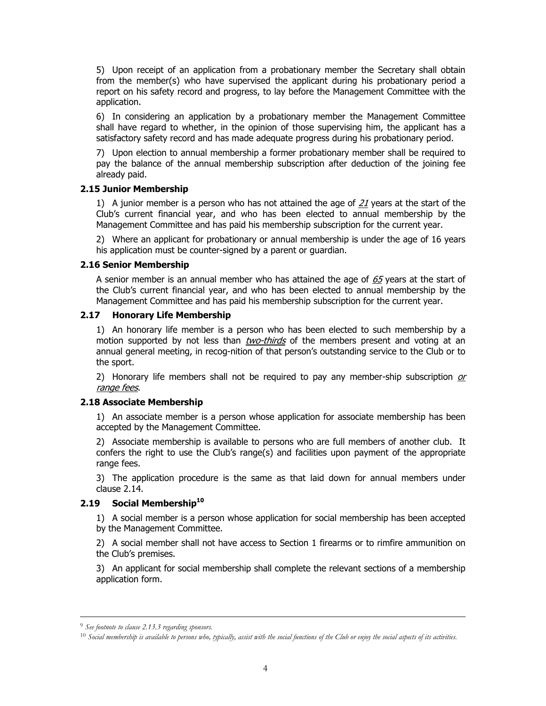5) Upon receipt of an application from a probationary member the Secretary shall obtain from the member(s) who have supervised the applicant during his probationary period a report on his safety record and progress, to lay before the Management Committee with the application.

6) In considering an application by a probationary member the Management Committee shall have regard to whether, in the opinion of those supervising him, the applicant has a satisfactory safety record and has made adequate progress during his probationary period.

7) Upon election to annual membership a former probationary member shall be required to pay the balance of the annual membership subscription after deduction of the joining fee already paid.

### **2.15 Junior Membership**

1) A junior member is a person who has not attained the age of  $21$  years at the start of the Club's current financial year, and who has been elected to annual membership by the Management Committee and has paid his membership subscription for the current year.

2) Where an applicant for probationary or annual membership is under the age of 16 years his application must be counter-signed by a parent or guardian.

### **2.16 Senior Membership**

A senior member is an annual member who has attained the age of  $65$  years at the start of the Club's current financial year, and who has been elected to annual membership by the Management Committee and has paid his membership subscription for the current year.

### **2.17 Honorary Life Membership**

1) An honorary life member is a person who has been elected to such membership by a motion supported by not less than *two-thirds* of the members present and voting at an annual general meeting, in recog-nition of that person's outstanding service to the Club or to the sport.

2) Honorary life members shall not be required to pay any member-ship subscription  $or$ range fees.

### **2.18 Associate Membership**

1) An associate member is a person whose application for associate membership has been accepted by the Management Committee.

2) Associate membership is available to persons who are full members of another club. It confers the right to use the Club's range(s) and facilities upon payment of the appropriate range fees.

3) The application procedure is the same as that laid down for annual members under clause 2.14.

## **2.19 Social Membership<sup>10</sup>**

1) A social member is a person whose application for social membership has been accepted by the Management Committee.

2) A social member shall not have access to Section 1 firearms or to rimfire ammunition on the Club's premises.

3) An applicant for social membership shall complete the relevant sections of a membership application form.

 <sup>9</sup> *See footnote to clause 2.13.3 regarding sponsors.* 

<sup>10</sup> *Social membership is available to persons who, typically, assist with the social functions of the Club or enjoy the social aspects of its activities.*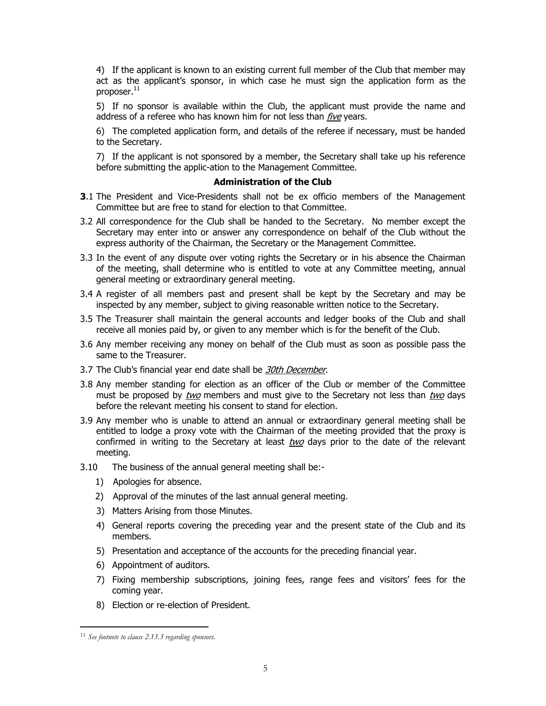4) If the applicant is known to an existing current full member of the Club that member may act as the applicant's sponsor, in which case he must sign the application form as the  $proposer.<sup>11</sup>$ 

5) If no sponsor is available within the Club, the applicant must provide the name and address of a referee who has known him for not less than five years.

6) The completed application form, and details of the referee if necessary, must be handed to the Secretary.

7) If the applicant is not sponsored by a member, the Secretary shall take up his reference before submitting the applic-ation to the Management Committee.

### **Administration of the Club**

- **3**.1 The President and Vice-Presidents shall not be ex officio members of the Management Committee but are free to stand for election to that Committee.
- 3.2 All correspondence for the Club shall be handed to the Secretary. No member except the Secretary may enter into or answer any correspondence on behalf of the Club without the express authority of the Chairman, the Secretary or the Management Committee.
- 3.3 In the event of any dispute over voting rights the Secretary or in his absence the Chairman of the meeting, shall determine who is entitled to vote at any Committee meeting, annual general meeting or extraordinary general meeting.
- 3.4 A register of all members past and present shall be kept by the Secretary and may be inspected by any member, subject to giving reasonable written notice to the Secretary.
- 3.5 The Treasurer shall maintain the general accounts and ledger books of the Club and shall receive all monies paid by, or given to any member which is for the benefit of the Club.
- 3.6 Any member receiving any money on behalf of the Club must as soon as possible pass the same to the Treasurer.
- 3.7 The Club's financial year end date shall be 30th December.
- 3.8 Any member standing for election as an officer of the Club or member of the Committee must be proposed by two members and must give to the Secretary not less than two days before the relevant meeting his consent to stand for election.
- 3.9 Any member who is unable to attend an annual or extraordinary general meeting shall be entitled to lodge a proxy vote with the Chairman of the meeting provided that the proxy is confirmed in writing to the Secretary at least two days prior to the date of the relevant meeting.
- 3.10 The business of the annual general meeting shall be:-
	- 1) Apologies for absence.
	- 2) Approval of the minutes of the last annual general meeting.
	- 3) Matters Arising from those Minutes.
	- 4) General reports covering the preceding year and the present state of the Club and its members.
	- 5) Presentation and acceptance of the accounts for the preceding financial year.
	- 6) Appointment of auditors.
	- 7) Fixing membership subscriptions, joining fees, range fees and visitors' fees for the coming year.
	- 8) Election or re-election of President.

 $\overline{a}$ 

<sup>11</sup> *See footnote to clause 2.13.3 regarding sponsors.*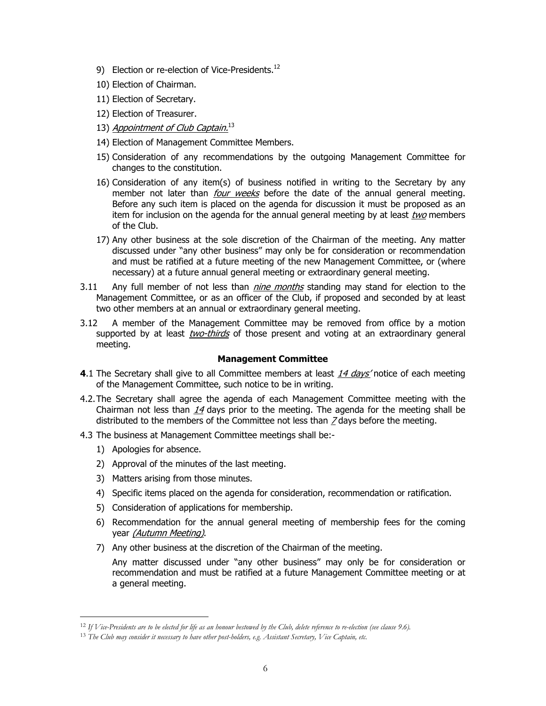- 9) Election or re-election of Vice-Presidents.<sup>12</sup>
- 10) Election of Chairman.
- 11) Election of Secretary.
- 12) Election of Treasurer.
- 13) Appointment of Club Captain.<sup>13</sup>
- 14) Election of Management Committee Members.
- 15) Consideration of any recommendations by the outgoing Management Committee for changes to the constitution.
- 16) Consideration of any item(s) of business notified in writing to the Secretary by any member not later than *four weeks* before the date of the annual general meeting. Before any such item is placed on the agenda for discussion it must be proposed as an item for inclusion on the agenda for the annual general meeting by at least two members of the Club.
- 17) Any other business at the sole discretion of the Chairman of the meeting. Any matter discussed under "any other business" may only be for consideration or recommendation and must be ratified at a future meeting of the new Management Committee, or (where necessary) at a future annual general meeting or extraordinary general meeting.
- 3.11 Any full member of not less than *nine months* standing may stand for election to the Management Committee, or as an officer of the Club, if proposed and seconded by at least two other members at an annual or extraordinary general meeting.
- 3.12 A member of the Management Committee may be removed from office by a motion supported by at least two-thirds of those present and voting at an extraordinary general meeting.

#### **Management Committee**

- **4.1** The Secretary shall give to all Committee members at least 14 days' notice of each meeting of the Management Committee, such notice to be in writing.
- 4.2. The Secretary shall agree the agenda of each Management Committee meeting with the Chairman not less than  $14$  days prior to the meeting. The agenda for the meeting shall be distributed to the members of the Committee not less than  $Z$  days before the meeting.
- 4.3 The business at Management Committee meetings shall be:-
	- 1) Apologies for absence.

 $\overline{a}$ 

- 2) Approval of the minutes of the last meeting.
- 3) Matters arising from those minutes.
- 4) Specific items placed on the agenda for consideration, recommendation or ratification.
- 5) Consideration of applications for membership.
- 6) Recommendation for the annual general meeting of membership fees for the coming year (Autumn Meeting).
- 7) Any other business at the discretion of the Chairman of the meeting.

 Any matter discussed under "any other business" may only be for consideration or recommendation and must be ratified at a future Management Committee meeting or at a general meeting.

<sup>12</sup> *If Vice-Presidents are to be elected for life as an honour bestowed by the Club, delete reference to re-election (see clause 9.6).* 

<sup>13</sup> *The Club may consider it necessary to have other post-holders, e.g. Assistant Secretary, Vice Captain, etc.*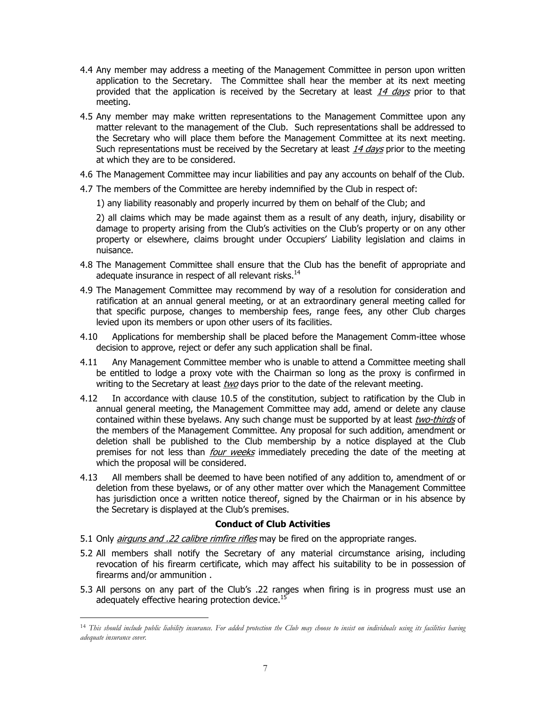- 4.4 Any member may address a meeting of the Management Committee in person upon written application to the Secretary. The Committee shall hear the member at its next meeting provided that the application is received by the Secretary at least  $14$  days prior to that meeting.
- 4.5 Any member may make written representations to the Management Committee upon any matter relevant to the management of the Club. Such representations shall be addressed to the Secretary who will place them before the Management Committee at its next meeting. Such representations must be received by the Secretary at least 14 days prior to the meeting at which they are to be considered.
- 4.6 The Management Committee may incur liabilities and pay any accounts on behalf of the Club.
- 4.7 The members of the Committee are hereby indemnified by the Club in respect of:
	- 1) any liability reasonably and properly incurred by them on behalf of the Club; and

 2) all claims which may be made against them as a result of any death, injury, disability or damage to property arising from the Club's activities on the Club's property or on any other property or elsewhere, claims brought under Occupiers' Liability legislation and claims in nuisance.

- 4.8 The Management Committee shall ensure that the Club has the benefit of appropriate and adequate insurance in respect of all relevant risks.<sup>14</sup>
- 4.9 The Management Committee may recommend by way of a resolution for consideration and ratification at an annual general meeting, or at an extraordinary general meeting called for that specific purpose, changes to membership fees, range fees, any other Club charges levied upon its members or upon other users of its facilities.
- 4.10 Applications for membership shall be placed before the Management Comm-ittee whose decision to approve, reject or defer any such application shall be final.
- 4.11 Any Management Committee member who is unable to attend a Committee meeting shall be entitled to lodge a proxy vote with the Chairman so long as the proxy is confirmed in writing to the Secretary at least two days prior to the date of the relevant meeting.
- 4.12 In accordance with clause 10.5 of the constitution, subject to ratification by the Club in annual general meeting, the Management Committee may add, amend or delete any clause contained within these byelaws. Any such change must be supported by at least two-thirds of the members of the Management Committee. Any proposal for such addition, amendment or deletion shall be published to the Club membership by a notice displayed at the Club premises for not less than *four weeks* immediately preceding the date of the meeting at which the proposal will be considered.
- 4.13 All members shall be deemed to have been notified of any addition to, amendment of or deletion from these byelaws, or of any other matter over which the Management Committee has jurisdiction once a written notice thereof, signed by the Chairman or in his absence by the Secretary is displayed at the Club's premises.

#### **Conduct of Club Activities**

5.1 Only *airguns and .22 calibre rimfire rifles* may be fired on the appropriate ranges.

 $\overline{a}$ 

- 5.2 All members shall notify the Secretary of any material circumstance arising, including revocation of his firearm certificate, which may affect his suitability to be in possession of firearms and/or ammunition .
- 5.3 All persons on any part of the Club's .22 ranges when firing is in progress must use an adequately effective hearing protection device.<sup>15</sup>

<sup>14</sup> *This should include public liability insurance. For added protection the Club may choose to insist on individuals using its facilities having adequate insurance cover.*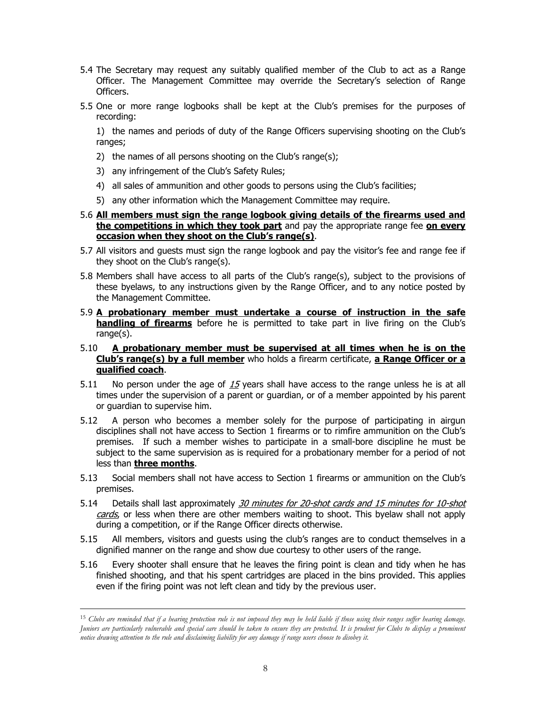- 5.4 The Secretary may request any suitably qualified member of the Club to act as a Range Officer. The Management Committee may override the Secretary's selection of Range Officers.
- 5.5 One or more range logbooks shall be kept at the Club's premises for the purposes of recording:

1) the names and periods of duty of the Range Officers supervising shooting on the Club's ranges;

- 2) the names of all persons shooting on the Club's range(s);
- 3) any infringement of the Club's Safety Rules;
- 4) all sales of ammunition and other goods to persons using the Club's facilities;
- 5) any other information which the Management Committee may require.
- 5.6 **All members must sign the range logbook giving details of the firearms used and the competitions in which they took part** and pay the appropriate range fee **on every occasion when they shoot on the Club's range(s)**.
- 5.7 All visitors and guests must sign the range logbook and pay the visitor's fee and range fee if they shoot on the Club's range(s).
- 5.8 Members shall have access to all parts of the Club's range(s), subject to the provisions of these byelaws, to any instructions given by the Range Officer, and to any notice posted by the Management Committee.
- 5.9 **A probationary member must undertake a course of instruction in the safe handling of firearms** before he is permitted to take part in live firing on the Club's range(s).
- 5.10 **A probationary member must be supervised at all times when he is on the Club's range(s) by a full member** who holds a firearm certificate, **a Range Officer or a qualified coach**.
- 5.11 No person under the age of  $15$  years shall have access to the range unless he is at all times under the supervision of a parent or guardian, or of a member appointed by his parent or guardian to supervise him.
- 5.12 A person who becomes a member solely for the purpose of participating in airgun disciplines shall not have access to Section 1 firearms or to rimfire ammunition on the Club's premises. If such a member wishes to participate in a small-bore discipline he must be subject to the same supervision as is required for a probationary member for a period of not less than **three months**.
- 5.13 Social members shall not have access to Section 1 firearms or ammunition on the Club's premises.
- 5.14 Details shall last approximately 30 minutes for 20-shot cards and 15 minutes for 10-shot cards, or less when there are other members waiting to shoot. This byelaw shall not apply during a competition, or if the Range Officer directs otherwise.
- 5.15 All members, visitors and guests using the club's ranges are to conduct themselves in a dignified manner on the range and show due courtesy to other users of the range.
- 5.16 Every shooter shall ensure that he leaves the firing point is clean and tidy when he has finished shooting, and that his spent cartridges are placed in the bins provided. This applies even if the firing point was not left clean and tidy by the previous user.

 <sup>15</sup> *Clubs are reminded that if a hearing protection rule is not imposed they may be held liable if those using their ranges suffer hearing damage. Juniors are particularly vulnerable and special care should be taken to ensure they are protected. It is prudent for Clubs to display a prominent notice drawing attention to the rule and disclaiming liability for any damage if range users choose to disobey it.*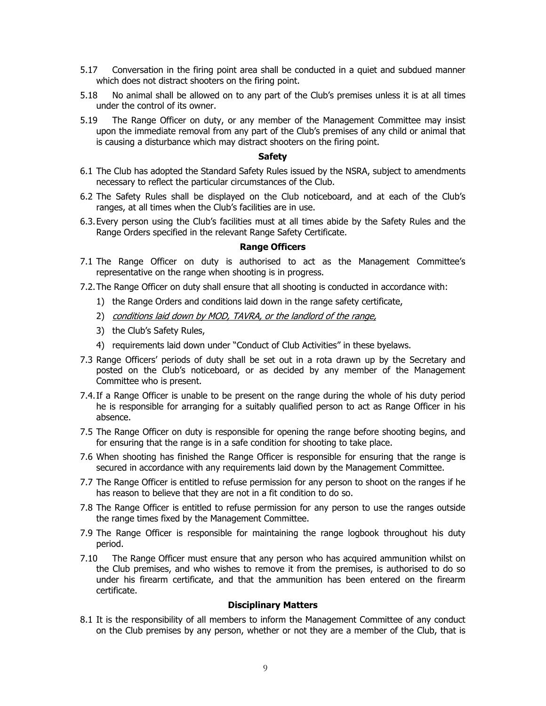- 5.17 Conversation in the firing point area shall be conducted in a quiet and subdued manner which does not distract shooters on the firing point.
- 5.18 No animal shall be allowed on to any part of the Club's premises unless it is at all times under the control of its owner.
- 5.19 The Range Officer on duty, or any member of the Management Committee may insist upon the immediate removal from any part of the Club's premises of any child or animal that is causing a disturbance which may distract shooters on the firing point.

#### **Safety**

- 6.1 The Club has adopted the Standard Safety Rules issued by the NSRA, subject to amendments necessary to reflect the particular circumstances of the Club.
- 6.2 The Safety Rules shall be displayed on the Club noticeboard, and at each of the Club's ranges, at all times when the Club's facilities are in use.
- 6.3. Every person using the Club's facilities must at all times abide by the Safety Rules and the Range Orders specified in the relevant Range Safety Certificate.

### **Range Officers**

- 7.1 The Range Officer on duty is authorised to act as the Management Committee's representative on the range when shooting is in progress.
- 7.2. The Range Officer on duty shall ensure that all shooting is conducted in accordance with:
	- 1) the Range Orders and conditions laid down in the range safety certificate,
	- 2) conditions laid down by MOD, TAVRA, or the landlord of the range,
	- 3) the Club's Safety Rules,
	- 4) requirements laid down under "Conduct of Club Activities" in these byelaws.
- 7.3 Range Officers' periods of duty shall be set out in a rota drawn up by the Secretary and posted on the Club's noticeboard, or as decided by any member of the Management Committee who is present.
- 7.4. If a Range Officer is unable to be present on the range during the whole of his duty period he is responsible for arranging for a suitably qualified person to act as Range Officer in his absence.
- 7.5 The Range Officer on duty is responsible for opening the range before shooting begins, and for ensuring that the range is in a safe condition for shooting to take place.
- 7.6 When shooting has finished the Range Officer is responsible for ensuring that the range is secured in accordance with any requirements laid down by the Management Committee.
- 7.7 The Range Officer is entitled to refuse permission for any person to shoot on the ranges if he has reason to believe that they are not in a fit condition to do so.
- 7.8 The Range Officer is entitled to refuse permission for any person to use the ranges outside the range times fixed by the Management Committee.
- 7.9 The Range Officer is responsible for maintaining the range logbook throughout his duty period.
- 7.10 The Range Officer must ensure that any person who has acquired ammunition whilst on the Club premises, and who wishes to remove it from the premises, is authorised to do so under his firearm certificate, and that the ammunition has been entered on the firearm certificate.

#### **Disciplinary Matters**

8.1 It is the responsibility of all members to inform the Management Committee of any conduct on the Club premises by any person, whether or not they are a member of the Club, that is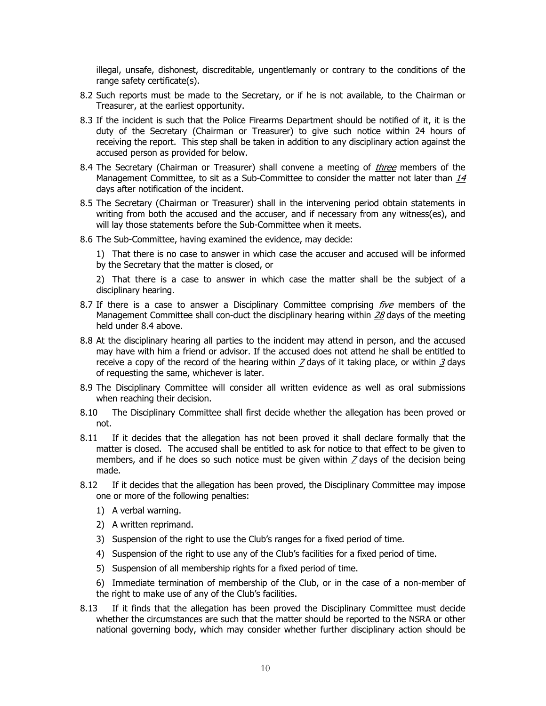illegal, unsafe, dishonest, discreditable, ungentlemanly or contrary to the conditions of the range safety certificate(s).

- 8.2 Such reports must be made to the Secretary, or if he is not available, to the Chairman or Treasurer, at the earliest opportunity.
- 8.3 If the incident is such that the Police Firearms Department should be notified of it, it is the duty of the Secretary (Chairman or Treasurer) to give such notice within 24 hours of receiving the report. This step shall be taken in addition to any disciplinary action against the accused person as provided for below.
- 8.4 The Secretary (Chairman or Treasurer) shall convene a meeting of *three* members of the Management Committee, to sit as a Sub-Committee to consider the matter not later than  $14$ days after notification of the incident.
- 8.5 The Secretary (Chairman or Treasurer) shall in the intervening period obtain statements in writing from both the accused and the accuser, and if necessary from any witness(es), and will lay those statements before the Sub-Committee when it meets.
- 8.6 The Sub-Committee, having examined the evidence, may decide:

1) That there is no case to answer in which case the accuser and accused will be informed by the Secretary that the matter is closed, or

2) That there is a case to answer in which case the matter shall be the subject of a disciplinary hearing.

- 8.7 If there is a case to answer a Disciplinary Committee comprising  $five$  members of the Management Committee shall con-duct the disciplinary hearing within  $28$  days of the meeting held under 8.4 above.
- 8.8 At the disciplinary hearing all parties to the incident may attend in person, and the accused may have with him a friend or advisor. If the accused does not attend he shall be entitled to receive a copy of the record of the hearing within  $Z$  days of it taking place, or within  $\frac{3}{2}$  days of requesting the same, whichever is later.
- 8.9 The Disciplinary Committee will consider all written evidence as well as oral submissions when reaching their decision.
- 8.10 The Disciplinary Committee shall first decide whether the allegation has been proved or not.
- 8.11 If it decides that the allegation has not been proved it shall declare formally that the matter is closed. The accused shall be entitled to ask for notice to that effect to be given to members, and if he does so such notice must be given within  $Z$  days of the decision being made.
- 8.12 If it decides that the allegation has been proved, the Disciplinary Committee may impose one or more of the following penalties:
	- 1) A verbal warning.
	- 2) A written reprimand.
	- 3) Suspension of the right to use the Club's ranges for a fixed period of time.
	- 4) Suspension of the right to use any of the Club's facilities for a fixed period of time.
	- 5) Suspension of all membership rights for a fixed period of time.

6) Immediate termination of membership of the Club, or in the case of a non-member of the right to make use of any of the Club's facilities.

8.13 If it finds that the allegation has been proved the Disciplinary Committee must decide whether the circumstances are such that the matter should be reported to the NSRA or other national governing body, which may consider whether further disciplinary action should be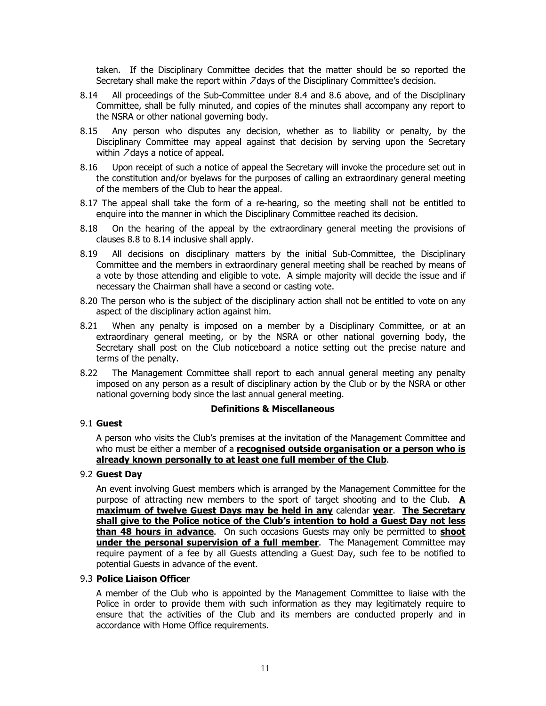taken. If the Disciplinary Committee decides that the matter should be so reported the Secretary shall make the report within 7 days of the Disciplinary Committee's decision.

- 8.14 All proceedings of the Sub-Committee under 8.4 and 8.6 above, and of the Disciplinary Committee, shall be fully minuted, and copies of the minutes shall accompany any report to the NSRA or other national governing body.
- 8.15 Any person who disputes any decision, whether as to liability or penalty, by the Disciplinary Committee may appeal against that decision by serving upon the Secretary within 7 days a notice of appeal.
- 8.16 Upon receipt of such a notice of appeal the Secretary will invoke the procedure set out in the constitution and/or byelaws for the purposes of calling an extraordinary general meeting of the members of the Club to hear the appeal.
- 8.17 The appeal shall take the form of a re-hearing, so the meeting shall not be entitled to enquire into the manner in which the Disciplinary Committee reached its decision.
- 8.18 On the hearing of the appeal by the extraordinary general meeting the provisions of clauses 8.8 to 8.14 inclusive shall apply.
- 8.19 All decisions on disciplinary matters by the initial Sub-Committee, the Disciplinary Committee and the members in extraordinary general meeting shall be reached by means of a vote by those attending and eligible to vote. A simple majority will decide the issue and if necessary the Chairman shall have a second or casting vote.
- 8.20 The person who is the subject of the disciplinary action shall not be entitled to vote on any aspect of the disciplinary action against him.
- 8.21 When any penalty is imposed on a member by a Disciplinary Committee, or at an extraordinary general meeting, or by the NSRA or other national governing body, the Secretary shall post on the Club noticeboard a notice setting out the precise nature and terms of the penalty.
- 8.22 The Management Committee shall report to each annual general meeting any penalty imposed on any person as a result of disciplinary action by the Club or by the NSRA or other national governing body since the last annual general meeting.

### **Definitions & Miscellaneous**

### 9.1 **Guest**

A person who visits the Club's premises at the invitation of the Management Committee and who must be either a member of a **recognised outside organisation or a person who is already known personally to at least one full member of the Club**.

### 9.2 **Guest Day**

An event involving Guest members which is arranged by the Management Committee for the purpose of attracting new members to the sport of target shooting and to the Club. **A maximum of twelve Guest Days may be held in any** calendar **year**. **The Secretary shall give to the Police notice of the Club's intention to hold a Guest Day not less than 48 hours in advance**. On such occasions Guests may only be permitted to **shoot under the personal supervision of a full member**. The Management Committee may require payment of a fee by all Guests attending a Guest Day, such fee to be notified to potential Guests in advance of the event.

## 9.3 **Police Liaison Officer**

A member of the Club who is appointed by the Management Committee to liaise with the Police in order to provide them with such information as they may legitimately require to ensure that the activities of the Club and its members are conducted properly and in accordance with Home Office requirements.